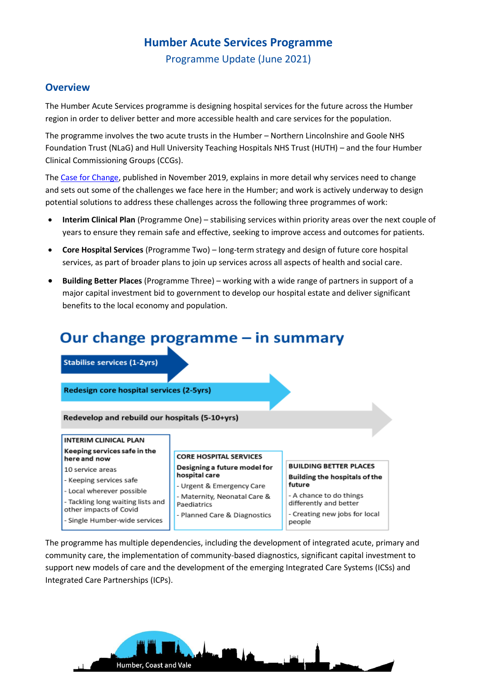# **Humber Acute Services Programme**

Programme Update (June 2021)

### **Overview**

The Humber Acute Services programme is designing hospital services for the future across the Humber region in order to deliver better and more accessible health and care services for the population.

The programme involves the two acute trusts in the Humber – Northern Lincolnshire and Goole NHS Foundation Trust (NLaG) and Hull University Teaching Hospitals NHS Trust (HUTH) – and the four Humber Clinical Commissioning Groups (CCGs).

The [Case for Change,](https://humbercoastandvale.org.uk/wp-content/uploads/2020/02/HASR-Long-Case-for-Change_Final-for-Publication.pdf) published in November 2019, explains in more detail why services need to change and sets out some of the challenges we face here in the Humber; and work is actively underway to design potential solutions to address these challenges across the following three programmes of work:

- **Interim Clinical Plan** (Programme One) stabilising services within priority areas over the next couple of years to ensure they remain safe and effective, seeking to improve access and outcomes for patients.
- **Core Hospital Services** (Programme Two) long-term strategy and design of future core hospital services, as part of broader plans to join up services across all aspects of health and social care.
- **Building Better Places** (Programme Three) working with a wide range of partners in support of a major capital investment bid to government to develop our hospital estate and deliver significant benefits to the local economy and population.

# Our change programme  $-$  in summary

**Stabilise services (1-2yrs)** 

Redesign core hospital services (2-5yrs)

Redevelop and rebuild our hospitals (5-10+yrs)

#### **INTERIM CLINICAL PLAN** Keeping services safe in the

#### here and now 10 service areas

- Keeping services safe
- Local wherever possible
- Tackling long waiting lists and
- other impacts of Covid

Single Humber-wide services

#### **CORE HOSPITAL SERVICES** Designing a future model for hospital care

- Urgent & Emergency Care
- Maternity, Neonatal Care &
- Paediatrics

- Planned Care & Diagnostics

#### **BUILDING BETTER PLACES Building the hospitals of the** future

- A chance to do things differently and better
- Creating new jobs for local people

The programme has multiple dependencies, including the development of integrated acute, primary and community care, the implementation of community-based diagnostics, significant capital investment to support new models of care and the development of the emerging Integrated Care Systems (ICSs) and Integrated Care Partnerships (ICPs).

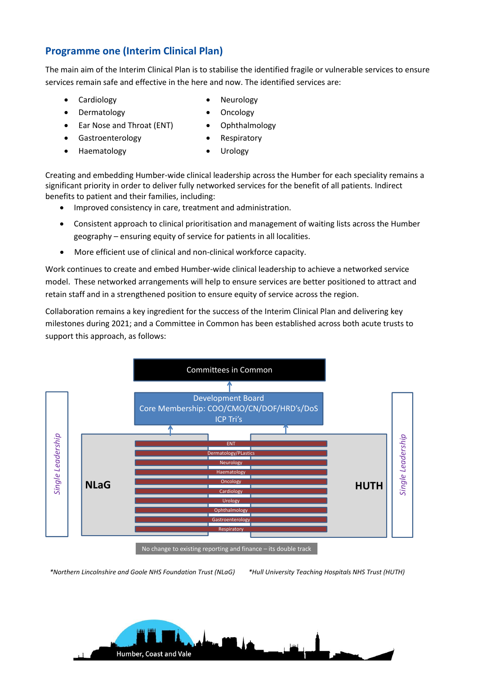## **Programme one (Interim Clinical Plan)**

The main aim of the Interim Clinical Plan is to stabilise the identified fragile or vulnerable services to ensure services remain safe and effective in the here and now. The identified services are:

- Cardiology **•** Neurology
- Dermatology Oncology
- Ear Nose and Throat (ENT) Ophthalmology
- Gastroenterology **•** Respiratory
	- Haematology Urology
- 

Creating and embedding Humber-wide clinical leadership across the Humber for each speciality remains a significant priority in order to deliver fully networked services for the benefit of all patients. Indirect benefits to patient and their families, including:

- Improved consistency in care, treatment and administration.
- Consistent approach to clinical prioritisation and management of waiting lists across the Humber geography – ensuring equity of service for patients in all localities.
- More efficient use of clinical and non-clinical workforce capacity.

Work continues to create and embed Humber-wide clinical leadership to achieve a networked service model. These networked arrangements will help to ensure services are better positioned to attract and retain staff and in a strengthened position to ensure equity of service across the region.

Collaboration remains a key ingredient for the success of the Interim Clinical Plan and delivering key milestones during 2021; and a Committee in Common has been established across both acute trusts to support this approach, as follows:



No change to existing reporting and finance – its double track

*\*Northern Lincolnshire and Goole NHS Foundation Trust (NLaG) \*Hull University Teaching Hospitals NHS Trust (HUTH)*

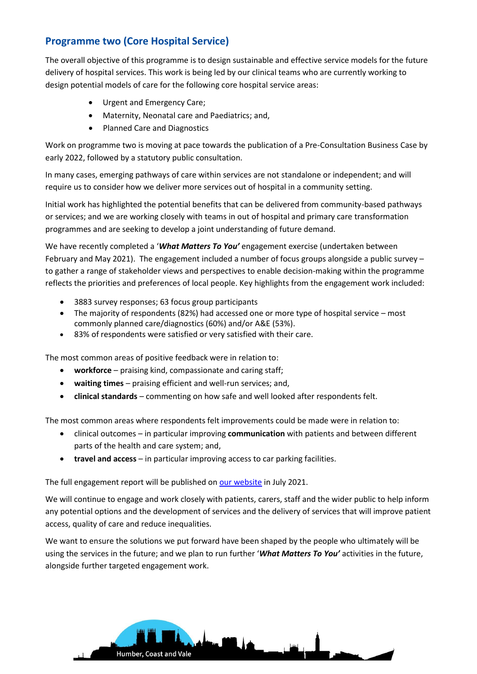# **Programme two (Core Hospital Service)**

The overall objective of this programme is to design sustainable and effective service models for the future delivery of hospital services. This work is being led by our clinical teams who are currently working to design potential models of care for the following core hospital service areas:

- Urgent and Emergency Care;
- Maternity, Neonatal care and Paediatrics; and,
- Planned Care and Diagnostics

Work on programme two is moving at pace towards the publication of a Pre-Consultation Business Case by early 2022, followed by a statutory public consultation.

In many cases, emerging pathways of care within services are not standalone or independent; and will require us to consider how we deliver more services out of hospital in a community setting.

Initial work has highlighted the potential benefits that can be delivered from community-based pathways or services; and we are working closely with teams in out of hospital and primary care transformation programmes and are seeking to develop a joint understanding of future demand.

We have recently completed a '*What Matters To You'* engagement exercise (undertaken between February and May 2021). The engagement included a number of focus groups alongside a public survey – to gather a range of stakeholder views and perspectives to enable decision-making within the programme reflects the priorities and preferences of local people. Key highlights from the engagement work included:

- 3883 survey responses; 63 focus group participants
- The majority of respondents (82%) had accessed one or more type of hospital service most commonly planned care/diagnostics (60%) and/or A&E (53%).
- 83% of respondents were satisfied or very satisfied with their care.

The most common areas of positive feedback were in relation to:

- **workforce**  praising kind, compassionate and caring staff;
- **waiting times**  praising efficient and well-run services; and,
- **clinical standards**  commenting on how safe and well looked after respondents felt.

The most common areas where respondents felt improvements could be made were in relation to:

- clinical outcomes in particular improving **communication** with patients and between different parts of the health and care system; and,
- **travel and access**  in particular improving access to car parking facilities.

The full engagement report will be published on [our website](https://humbercoastandvale.org.uk/humberacutereview/) in July 2021.

We will continue to engage and work closely with patients, carers, staff and the wider public to help inform any potential options and the development of services and the delivery of services that will improve patient access, quality of care and reduce inequalities.

We want to ensure the solutions we put forward have been shaped by the people who ultimately will be using the services in the future; and we plan to run further '*What Matters To You'* activities in the future, alongside further targeted engagement work.